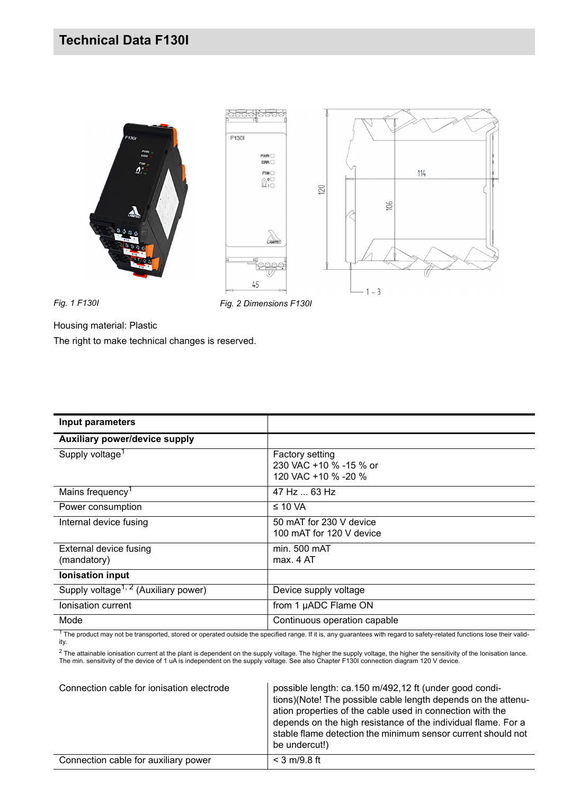## **Technical Data F130I**



*Fig. 1 F130I Fig. 2 Dimensions F130I*

Housing material: Plastic

The right to make technical changes is reserved.

| Input parameters                                 |                                                                         |
|--------------------------------------------------|-------------------------------------------------------------------------|
| Auxiliary power/device supply                    |                                                                         |
| Supply voltage <sup>1</sup>                      | <b>Factory setting</b><br>230 VAC +10 % -15 % or<br>120 VAC +10 % -20 % |
| Mains frequency <sup>1</sup>                     | 47 Hz  63 Hz                                                            |
| Power consumption                                | $\leq 10$ VA                                                            |
| Internal device fusing                           | 50 mAT for 230 V device<br>100 mAT for 120 V device                     |
| External device fusing<br>(mandatory)            | min. 500 mAT<br>max. 4 AT                                               |
| <b>lonisation input</b>                          |                                                                         |
| Supply voltage <sup>1, 2</sup> (Auxiliary power) | Device supply voltage                                                   |
| Ionisation current                               | from 1 µADC Flame ON                                                    |
| Mode                                             | Continuous operation capable                                            |

 $^{\rm 1}$  The product may not be transported, stored or operated outside the specified range. If it is, any guarantees with regard to safety-related functions lose their validity.

<sup>2</sup> The attainable ionisation current at the plant is dependent on the supply voltage. The higher the supply voltage, the higher the sensitivity of the Ionisation lance.<br>The min. sensitivity of the device of 1 uA is indepe

| Connection cable for ionisation electrode | possible length: ca.150 m/492,12 ft (under good condi-<br>tions)(Note! The possible cable length depends on the attenu-<br>ation properties of the cable used in connection with the<br>depends on the high resistance of the individual flame. For a<br>stable flame detection the minimum sensor current should not<br>be undercut!) |
|-------------------------------------------|----------------------------------------------------------------------------------------------------------------------------------------------------------------------------------------------------------------------------------------------------------------------------------------------------------------------------------------|
| Connection cable for auxiliary power      | $<$ 3 m/9.8 ft                                                                                                                                                                                                                                                                                                                         |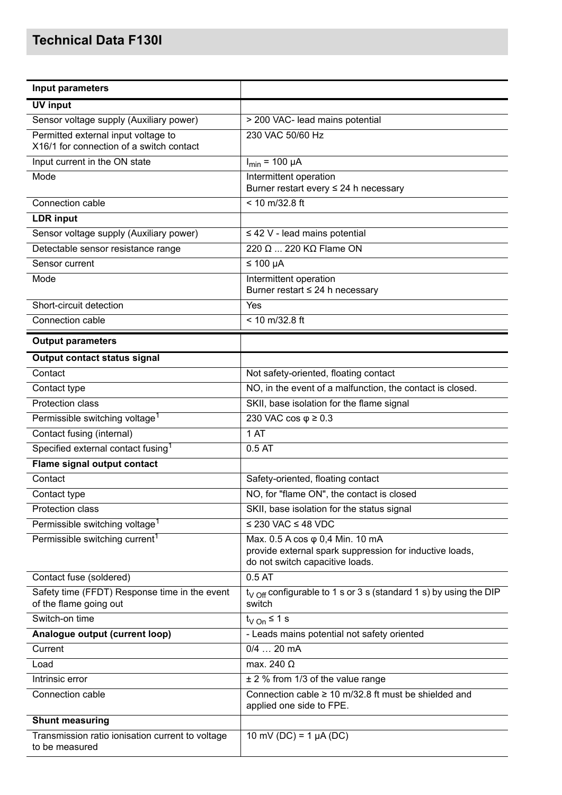| Input parameters                                                                |                                                                                                                               |
|---------------------------------------------------------------------------------|-------------------------------------------------------------------------------------------------------------------------------|
| <b>UV</b> input                                                                 |                                                                                                                               |
| Sensor voltage supply (Auxiliary power)                                         | > 200 VAC- lead mains potential                                                                                               |
| Permitted external input voltage to<br>X16/1 for connection of a switch contact | 230 VAC 50/60 Hz                                                                                                              |
| Input current in the ON state                                                   | $I_{\text{min}}$ = 100 µA                                                                                                     |
| Mode                                                                            | Intermittent operation<br>Burner restart every ≤ 24 h necessary                                                               |
| Connection cable                                                                | $< 10$ m/32.8 ft                                                                                                              |
| <b>LDR</b> input                                                                |                                                                                                                               |
| Sensor voltage supply (Auxiliary power)                                         | $\leq$ 42 V - lead mains potential                                                                                            |
| Detectable sensor resistance range                                              | 220 Ω  220 KΩ Flame ON                                                                                                        |
| Sensor current                                                                  | $\leq 100 \mu A$                                                                                                              |
| Mode                                                                            | Intermittent operation<br>Burner restart ≤ 24 h necessary                                                                     |
| Short-circuit detection                                                         | Yes                                                                                                                           |
| Connection cable                                                                | $< 10$ m/32.8 ft                                                                                                              |
| <b>Output parameters</b>                                                        |                                                                                                                               |
| Output contact status signal                                                    |                                                                                                                               |
| Contact                                                                         | Not safety-oriented, floating contact                                                                                         |
| Contact type                                                                    | NO, in the event of a malfunction, the contact is closed.                                                                     |
| <b>Protection class</b>                                                         | SKII, base isolation for the flame signal                                                                                     |
| Permissible switching voltage <sup>1</sup>                                      | 230 VAC cos $\varphi \ge 0.3$                                                                                                 |
| Contact fusing (internal)                                                       | 1 AT                                                                                                                          |
| Specified external contact fusing <sup>1</sup>                                  | 0.5AT                                                                                                                         |
| Flame signal output contact                                                     |                                                                                                                               |
| Contact                                                                         | Safety-oriented, floating contact                                                                                             |
| Contact type                                                                    | NO, for "flame ON", the contact is closed                                                                                     |
| Protection class                                                                | SKII, base isolation for the status signal                                                                                    |
| Permissible switching voltage <sup>1</sup>                                      | ≤ 230 VAC ≤ 48 VDC                                                                                                            |
| Permissible switching current <sup>1</sup>                                      | Max. 0.5 A cos φ 0,4 Min. 10 mA<br>provide external spark suppression for inductive loads,<br>do not switch capacitive loads. |
| Contact fuse (soldered)                                                         | 0.5AT                                                                                                                         |
| Safety time (FFDT) Response time in the event<br>of the flame going out         | $t_V$ <sub>Off</sub> configurable to 1 s or 3 s (standard 1 s) by using the DIP<br>switch                                     |
| Switch-on time                                                                  | $t_{\rm V, On} \leq 1$ s                                                                                                      |
| Analogue output (current loop)                                                  | - Leads mains potential not safety oriented                                                                                   |
| Current                                                                         | $0/4$ 20 mA                                                                                                                   |
| Load                                                                            | max. 240 $\Omega$                                                                                                             |
| Intrinsic error                                                                 | $±$ 2 % from 1/3 of the value range                                                                                           |
| Connection cable                                                                | Connection cable $\geq 10$ m/32.8 ft must be shielded and<br>applied one side to FPE.                                         |
| <b>Shunt measuring</b>                                                          |                                                                                                                               |
| Transmission ratio ionisation current to voltage<br>to be measured              | 10 mV (DC) = 1 $\mu$ A (DC)                                                                                                   |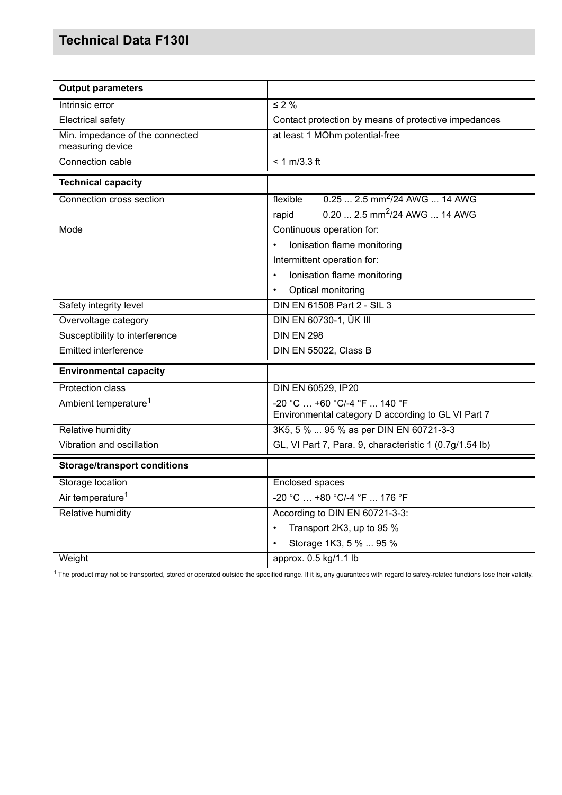## **Technical Data F130I**

| <b>Output parameters</b>                            |                                                         |
|-----------------------------------------------------|---------------------------------------------------------|
| Intrinsic error                                     | $\leq 2\%$                                              |
| Electrical safety                                   | Contact protection by means of protective impedances    |
| Min. impedance of the connected<br>measuring device | at least 1 MOhm potential-free                          |
| Connection cable                                    | $< 1$ m/3.3 ft                                          |
| <b>Technical capacity</b>                           |                                                         |
| Connection cross section                            | $0.25$ 2.5 mm <sup>2</sup> /24 AWG  14 AWG<br>flexible  |
|                                                     | 0.20  2.5 mm <sup>2</sup> /24 AWG  14 AWG<br>rapid      |
| Mode                                                | Continuous operation for:                               |
|                                                     | Ionisation flame monitoring                             |
|                                                     | Intermittent operation for:                             |
|                                                     | Ionisation flame monitoring<br>$\bullet$                |
|                                                     | Optical monitoring<br>$\bullet$                         |
| Safety integrity level                              | DIN EN 61508 Part 2 - SIL 3                             |
| Overvoltage category                                | DIN EN 60730-1, ÜK III                                  |
| Susceptibility to interference                      | <b>DIN EN 298</b>                                       |
| <b>Emitted interference</b>                         | DIN EN 55022, Class B                                   |
| <b>Environmental capacity</b>                       |                                                         |
| <b>Protection class</b>                             | <b>DIN EN 60529, IP20</b>                               |
| Ambient temperature <sup>1</sup>                    | $-20 °C  +60 °C/-4 °F  140 °F$                          |
|                                                     | Environmental category D according to GL VI Part 7      |
| Relative humidity                                   | 3K5, 5 %  95 % as per DIN EN 60721-3-3                  |
| Vibration and oscillation                           | GL, VI Part 7, Para. 9, characteristic 1 (0.7g/1.54 lb) |
| <b>Storage/transport conditions</b>                 |                                                         |
| Storage location                                    | Enclosed spaces                                         |
| Air temperature <sup>1</sup>                        | -20 °C  +80 °C/-4 °F  176 °F                            |
| <b>Relative humidity</b>                            | According to DIN EN 60721-3-3:                          |
|                                                     | Transport 2K3, up to 95 %                               |
|                                                     | Storage 1K3, 5 %  95 %                                  |
| Weight                                              | approx. 0.5 kg/1.1 lb                                   |

The product may not be transported, stored or operated outside the specified range. If it is, any guarantees with regard to safety-related functions lose their validity.